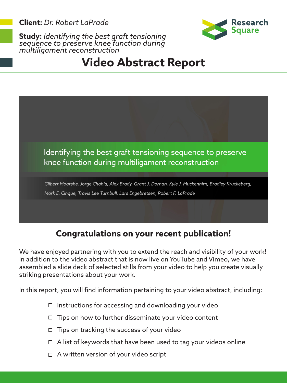**Client:** *Dr. Robert LaPrade*



## **Study:** *Identifying the best graft tensioning sequence to preserve knee function during multiligament reconstruction*

# **Video Abstract Report**



#### **Congratulations on your recent publication!**

We have enjoyed partnering with you to extend the reach and visibility of your work! In addition to the video abstract that is now live on YouTube and Vimeo, we have assembled a slide deck of selected stills from your video to help you create visually striking presentations about your work.

In this report, you will find information pertaining to your video abstract, including:

- $\Box$  Instructions for accessing and downloading your video
- $\Box$  Tips on how to further disseminate your video content
- $\Box$  Tips on tracking the success of your video
- $\Box$  A list of keywords that have been used to tag your videos online
- □ A written version of your video script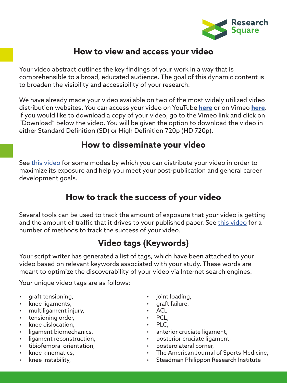

#### **How to view and access your video**

Your video abstract outlines the key findings of your work in a way that is comprehensible to a broad, educated audience. The goal of this dynamic content is to broaden the visibility and accessibility of your research.

We have already made your video available on two of the most widely utilized video distribution websites. You can access your video on YouTube **[here](https://youtu.be/ZaeO9yNy1wk)** or on Vimeo **[here](https://vimeo.com/277297981)**. If you would like to download a copy of your video, go to the Vimeo link and click on "Download" below the video. You will be given the option to download the video in either Standard Definition (SD) or High Definition 720p (HD 720p).

#### **How to disseminate your video**

See [this video](https://www.youtube.com/watch?v=1ORaT8zVLCc) for some modes by which you can distribute your video in order to maximize its exposure and help you meet your post-publication and general career development goals.

### **How to track the success of your video**

Several tools can be used to track the amount of exposure that your video is getting and the amount of traffic that it drives to your published paper. See [this video](https://www.youtube.com/watch?v=_R8OEwAmHy0) for a number of methods to track the success of your video.

#### **Video tags (Keywords)**

Your script writer has generated a list of tags, which have been attached to your video based on relevant keywords associated with your study. These words are meant to optimize the discoverability of your video via Internet search engines.

Your unique video tags are as follows:

- graft tensioning,
- knee ligaments,
- multiligament injury,
- tensioning order,
- knee dislocation,
- ligament biomechanics,
- ligament reconstruction,
- tibiofemoral orientation,
- knee kinematics,
- knee instability,
- joint loading,
- graft failure,
- ACL,
- PCL,
- PLC,
- anterior cruciate ligament,
- posterior cruciate ligament,
- posterolateral corner,
- The American Journal of Sports Medicine,
- Steadman Philippon Research Institute